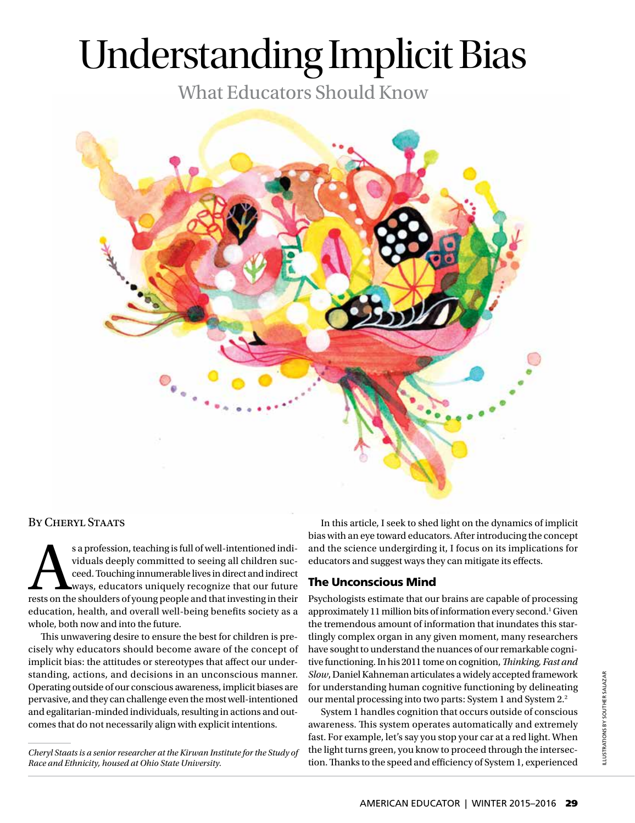# Understanding Implicit Bias

What Educators Should Know



### By Cheryl Staats

s a profession, teaching is full of well-intentioned individuals deeply committed to seeing all children succeed. Touching innumerable lives in direct and indirect ways, educators uniquely recognize that our future rests o viduals deeply committed to seeing all children succeed. Touching innumerable lives in direct and indirect ways, educators uniquely recognize that our future education, health, and overall well-being benefits society as a whole, both now and into the future.

This unwavering desire to ensure the best for children is precisely why educators should become aware of the concept of implicit bias: the attitudes or stereotypes that affect our understanding, actions, and decisions in an unconscious manner. Operating outside of our conscious awareness, implicit biases are pervasive, and they can challenge even the most well-intentioned and egalitarian-minded individuals, resulting in actions and outcomes that do not necessarily align with explicit intentions.

In this article, I seek to shed light on the dynamics of implicit bias with an eye toward educators. After introducing the concept and the science undergirding it, I focus on its implications for educators and suggest ways they can mitigate its effects.

### The Unconscious Mind

Psychologists estimate that our brains are capable of processing approximately 11 million bits of information every second.<sup>1</sup> Given the tremendous amount of information that inundates this startlingly complex organ in any given moment, many researchers have sought to understand the nuances of our remarkable cognitive functioning. In his 2011 tome on cognition, *Thinking, Fast and Slow*, Daniel Kahneman articulates a widely accepted framework for understanding human cognitive functioning by delineating our mental processing into two parts: System 1 and System 2.2

System 1 handles cognition that occurs outside of conscious awareness. This system operates automatically and extremely fast. For example, let's say you stop your car at a red light. When the light turns green, you know to proceed through the intersection. Thanks to the speed and efficiency of System 1, experienced

*Cheryl Staats is a senior researcher at the Kirwan Institute for the Study of Race and Ethnicity, housed at Ohio State University.*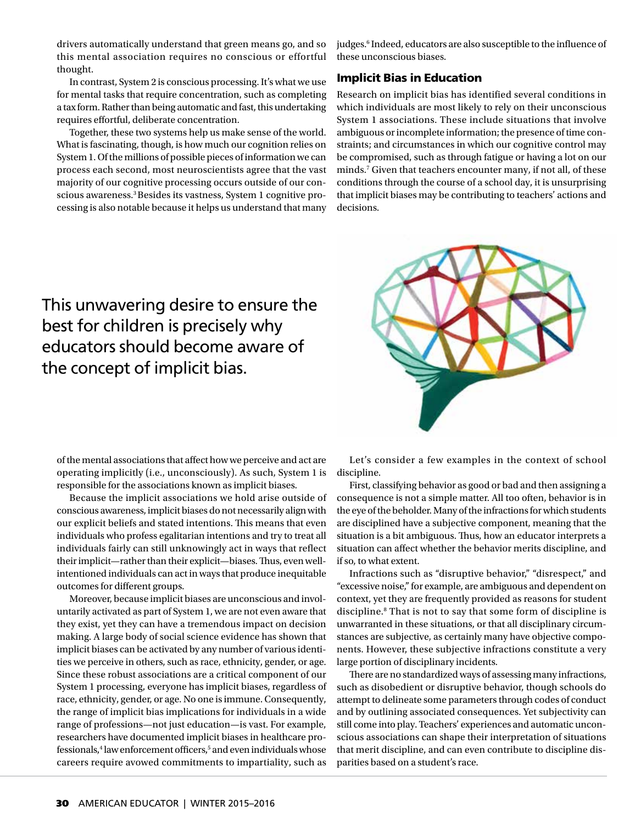drivers automatically understand that green means go, and so this mental association requires no conscious or effortful thought.

In contrast, System 2 is conscious processing. It's what we use for mental tasks that require concentration, such as completing a tax form. Rather than being automatic and fast, this undertaking requires effortful, deliberate concentration.

Together, these two systems help us make sense of the world. What is fascinating, though, is how much our cognition relies on System 1. Of the millions of possible pieces of information we can process each second, most neuroscientists agree that the vast majority of our cognitive processing occurs outside of our conscious awareness.3 Besides its vastness, System 1 cognitive processing is also notable because it helps us understand that many

judges.<sup>6</sup> Indeed, educators are also susceptible to the influence of these unconscious biases.

### Implicit Bias in Education

 minds.7 Given that teachers encounter many, if not all, of these conditions through the course of a school day, it is unsurprising Research on implicit bias has identified several conditions in which individuals are most likely to rely on their unconscious System 1 associations. These include situations that involve ambiguous or incomplete information; the presence of time constraints; and circumstances in which our cognitive control may be compromised, such as through fatigue or having a lot on our that implicit biases may be contributing to teachers' actions and decisions.

This unwavering desire to ensure the best for children is precisely why educators should become aware of the concept of implicit bias.



of the mental associations that affect how we perceive and act are operating implicitly (i.e., unconsciously). As such, System 1 is responsible for the associations known as implicit biases.

Because the implicit associations we hold arise outside of conscious awareness, implicit biases do not necessarily align with our explicit beliefs and stated intentions. This means that even individuals who profess egalitarian intentions and try to treat all individuals fairly can still unknowingly act in ways that reflect their implicit—rather than their explicit—biases. Thus, even wellintentioned individuals can act in ways that produce inequitable outcomes for different groups.

Moreover, because implicit biases are unconscious and involuntarily activated as part of System 1, we are not even aware that they exist, yet they can have a tremendous impact on decision making. A large body of social science evidence has shown that implicit biases can be activated by any number of various identities we perceive in others, such as race, ethnicity, gender, or age. Since these robust associations are a critical component of our System 1 processing, everyone has implicit biases, regardless of race, ethnicity, gender, or age. No one is immune. Consequently, the range of implicit bias implications for individuals in a wide range of professions—not just education—is vast. For example, researchers have documented implicit biases in healthcare professionals,<sup>4</sup> law enforcement officers,<sup>5</sup> and even individuals whose careers require avowed commitments to impartiality, such as

Let's consider a few examples in the context of school discipline.

First, classifying behavior as good or bad and then assigning a consequence is not a simple matter. All too often, behavior is in the eye of the beholder. Many of the infractions for which students are disciplined have a subjective component, meaning that the situation is a bit ambiguous. Thus, how an educator interprets a situation can affect whether the behavior merits discipline, and if so, to what extent.

Infractions such as "disruptive behavior," "disrespect," and "excessive noise," for example, are ambiguous and dependent on context, yet they are frequently provided as reasons for student discipline.8 That is not to say that some form of discipline is unwarranted in these situations, or that all disciplinary circumstances are subjective, as certainly many have objective components. However, these subjective infractions constitute a very large portion of disciplinary incidents.

There are no standardized ways of assessing many infractions, such as disobedient or disruptive behavior, though schools do attempt to delineate some parameters through codes of conduct and by outlining associated consequences. Yet subjectivity can still come into play. Teachers' experiences and automatic unconscious associations can shape their interpretation of situations that merit discipline, and can even contribute to discipline disparities based on a student's race.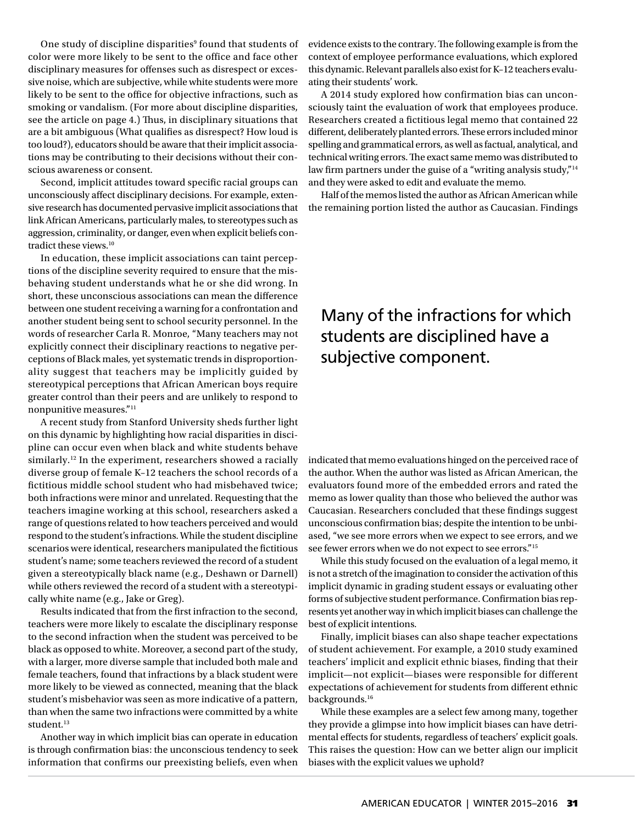One study of discipline disparities<sup>9</sup> found that students of color were more likely to be sent to the office and face other disciplinary measures for offenses such as disrespect or excessive noise, which are subjective, while white students were more likely to be sent to the office for objective infractions, such as smoking or vandalism. (For more about discipline disparities, see the article on page 4.) Thus, in disciplinary situations that are a bit ambiguous (What qualifies as disrespect? How loud is too loud?), educators should be aware that their implicit associations may be contributing to their decisions without their conscious awareness or consent.

Second, implicit attitudes toward specific racial groups can unconsciously affect disciplinary decisions. For example, extensive research has documented pervasive implicit associations that link African Americans, particularly males, to stereotypes such as aggression, criminality, or danger, even when explicit beliefs contradict these views.10

 tions of the discipline severity required to ensure that the mis-In education, these implicit associations can taint percepbehaving student understands what he or she did wrong. In short, these unconscious associations can mean the difference between one student receiving a warning for a confrontation and another student being sent to school security personnel. In the words of researcher Carla R. Monroe, "Many teachers may not explicitly connect their disciplinary reactions to negative perceptions of Black males, yet systematic trends in disproportionality suggest that teachers may be implicitly guided by stereotypical perceptions that African American boys require greater control than their peers and are unlikely to respond to nonpunitive measures."11

 on this dynamic by highlighting how racial disparities in disci- given a stereotypically black name (e.g., Deshawn or Darnell) A recent study from Stanford University sheds further light pline can occur even when black and white students behave similarly.<sup>12</sup> In the experiment, researchers showed a racially diverse group of female K–12 teachers the school records of a fictitious middle school student who had misbehaved twice; both infractions were minor and unrelated. Requesting that the teachers imagine working at this school, researchers asked a range of questions related to how teachers perceived and would respond to the student's infractions. While the student discipline scenarios were identical, researchers manipulated the fictitious student's name; some teachers reviewed the record of a student while others reviewed the record of a student with a stereotypically white name (e.g., Jake or Greg).

Results indicated that from the first infraction to the second, teachers were more likely to escalate the disciplinary response to the second infraction when the student was perceived to be black as opposed to white. Moreover, a second part of the study, with a larger, more diverse sample that included both male and female teachers, found that infractions by a black student were more likely to be viewed as connected, meaning that the black student's misbehavior was seen as more indicative of a pattern, than when the same two infractions were committed by a white student.<sup>13</sup>

Another way in which implicit bias can operate in education is through confirmation bias: the unconscious tendency to seek information that confirms our preexisting beliefs, even when

evidence exists to the contrary. The following example is from the context of employee performance evaluations, which explored this dynamic. Relevant parallels also exist for K–12 teachers evaluating their students' work.

A 2014 study explored how confirmation bias can unconsciously taint the evaluation of work that employees produce. Researchers created a fictitious legal memo that contained 22 different, deliberately planted errors. These errors included minor spelling and grammatical errors, as well as factual, analytical, and technical writing errors. The exact same memo was distributed to law firm partners under the guise of a "writing analysis study,"<sup>14</sup> and they were asked to edit and evaluate the memo.

Half of the memos listed the author as African American while the remaining portion listed the author as Caucasian. Findings

### Many of the infractions for which students are disciplined have a subjective component.

indicated that memo evaluations hinged on the perceived race of the author. When the author was listed as African American, the evaluators found more of the embedded errors and rated the memo as lower quality than those who believed the author was Caucasian. Researchers concluded that these findings suggest unconscious confirmation bias; despite the intention to be unbiased, "we see more errors when we expect to see errors, and we see fewer errors when we do not expect to see errors."<sup>15</sup>

While this study focused on the evaluation of a legal memo, it is not a stretch of the imagination to consider the activation of this implicit dynamic in grading student essays or evaluating other forms of subjective student performance. Confirmation bias represents yet another way in which implicit biases can challenge the best of explicit intentions.

Finally, implicit biases can also shape teacher expectations of student achievement. For example, a 2010 study examined teachers' implicit and explicit ethnic biases, finding that their implicit—not explicit—biases were responsible for different expectations of achievement for students from different ethnic backgrounds.16

While these examples are a select few among many, together they provide a glimpse into how implicit biases can have detrimental effects for students, regardless of teachers' explicit goals. This raises the question: How can we better align our implicit biases with the explicit values we uphold?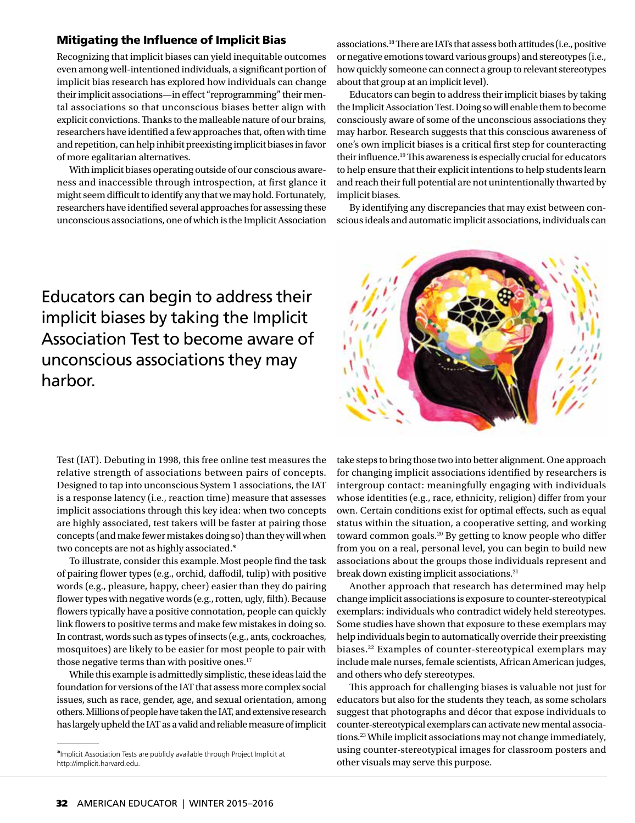#### Mitigating the Influence of Implicit Bias

Recognizing that implicit biases can yield inequitable outcomes even among well-intentioned individuals, a significant portion of implicit bias research has explored how individuals can change their implicit associations—in effect "reprogramming" their mental associations so that unconscious biases better align with explicit convictions. Thanks to the malleable nature of our brains, researchers have identified a few approaches that, often with time and repetition, can help inhibit preexisting implicit biases in favor of more egalitarian alternatives.

With implicit biases operating outside of our conscious awareness and inaccessible through introspection, at first glance it might seem difficult to identify any that we may hold. Fortunately, researchers have identified several approaches for assessing these unconscious associations, one of which is the Implicit Association associations.18 There are IATs that assess both attitudes (i.e., positive or negative emotions toward various groups) and stereotypes (i.e., how quickly someone can connect a group to relevant stereotypes about that group at an implicit level).

Educators can begin to address their implicit biases by taking the Implicit Association Test. Doing so will enable them to become consciously aware of some of the unconscious associations they may harbor. Research suggests that this conscious awareness of one's own implicit biases is a critical first step for counteracting their influence.19 This awareness is especially crucial for educators to help ensure that their explicit intentions to help students learn and reach their full potential are not unintentionally thwarted by implicit biases.

By identifying any discrepancies that may exist between conscious ideals and automatic implicit associations, individuals can

### Educators can begin to address their implicit biases by taking the Implicit Association Test to become aware of unconscious associations they may harbor.

Test (IAT). Debuting in 1998, this free online test measures the relative strength of associations between pairs of concepts. Designed to tap into unconscious System 1 associations, the IAT is a response latency (i.e., reaction time) measure that assesses implicit associations through this key idea: when two concepts are highly associated, test takers will be faster at pairing those concepts (and make fewer mistakes doing so) than they will when two concepts are not as highly associated.\*

 words (e.g., pleasure, happy, cheer) easier than they do pairing mosquitoes) are likely to be easier for most people to pair with To illustrate, consider this example. Most people find the task of pairing flower types (e.g., orchid, daffodil, tulip) with positive flower types with negative words (e.g., rotten, ugly, filth). Because flowers typically have a positive connotation, people can quickly link flowers to positive terms and make few mistakes in doing so. In contrast, words such as types of insects (e.g., ants, cockroaches, those negative terms than with positive ones.<sup>17</sup>

While this example is admittedly simplistic, these ideas laid the foundation for versions of the IAT that assess more complex social issues, such as race, gender, age, and sexual orientation, among others. Millions of people have taken the IAT, and extensive research has largely upheld the IAT as a valid and reliable measure of implicit take steps to bring those two into better alignment. One approach for changing implicit associations identified by researchers is intergroup contact: meaningfully engaging with individuals whose identities (e.g., race, ethnicity, religion) differ from your own. Certain conditions exist for optimal effects, such as equal status within the situation, a cooperative setting, and working toward common goals.<sup>20</sup> By getting to know people who differ from you on a real, personal level, you can begin to build new associations about the groups those individuals represent and break down existing implicit associations.<sup>21</sup>

Another approach that research has determined may help change implicit associations is exposure to counter-stereotypical exemplars: individuals who contradict widely held stereotypes. Some studies have shown that exposure to these exemplars may help individuals begin to automatically override their preexisting biases.22 Examples of counter-stereotypical exemplars may include male nurses, female scientists, African American judges, and others who defy stereotypes.

This approach for challenging biases is valuable not just for educators but also for the students they teach, as some scholars suggest that photographs and décor that expose individuals to counter-stereotypical exemplars can activate new mental associations.23 While implicit associations may not change immediately, using counter-stereotypical images for classroom posters and other visuals may serve this purpose.



<sup>\*</sup>Implicit Association Tests are publicly available through Project Implicit at http://implicit.harvard.edu.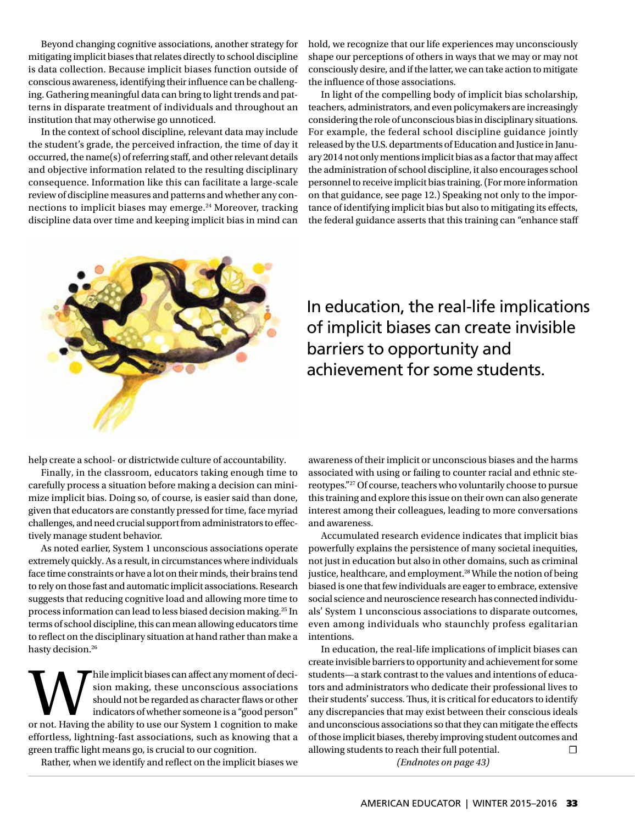Beyond changing cognitive associations, another strategy for mitigating implicit biases that relates directly to school discipline is data collection. Because implicit biases function outside of conscious awareness, identifying their influence can be challenging. Gathering meaningful data can bring to light trends and patterns in disparate treatment of individuals and throughout an institution that may otherwise go unnoticed.

In the context of school discipline, relevant data may include the student's grade, the perceived infraction, the time of day it occurred, the name(s) of referring staff, and other relevant details and objective information related to the resulting disciplinary consequence. Information like this can facilitate a large-scale review of discipline measures and patterns and whether any connections to implicit biases may emerge.<sup>24</sup> Moreover, tracking discipline data over time and keeping implicit bias in mind can hold, we recognize that our life experiences may unconsciously shape our perceptions of others in ways that we may or may not consciously desire, and if the latter, we can take action to mitigate the influence of those associations.

In light of the compelling body of implicit bias scholarship, teachers, administrators, and even policymakers are increasingly considering the role of unconscious bias in disciplinary situations. For example, the federal school discipline guidance jointly released by the U.S. departments of Education and Justice in January 2014 not only mentions implicit bias as a factor that may affect the administration of school discipline, it also encourages school personnel to receive implicit bias training. (For more information on that guidance, see page 12.) Speaking not only to the importance of identifying implicit bias but also to mitigating its effects, the federal guidance asserts that this training can "enhance staff



In education, the real-life implications of implicit biases can create invisible barriers to opportunity and achievement for some students.

help create a school- or districtwide culture of accountability.

Finally, in the classroom, educators taking enough time to carefully process a situation before making a decision can minimize implicit bias. Doing so, of course, is easier said than done, given that educators are constantly pressed for time, face myriad challenges, and need crucial support from administrators to effectively manage student behavior.

As noted earlier, System 1 unconscious associations operate extremely quickly. As a result, in circumstances where individuals face time constraints or have a lot on their minds, their brains tend to rely on those fast and automatic implicit associations. Research suggests that reducing cognitive load and allowing more time to process information can lead to less biased decision making.25 In terms of school discipline, this can mean allowing educators time to reflect on the disciplinary situation at hand rather than make a hasty decision.26

while implicit biases can affect any moment of decision should not be regarded as character flaws or other indicators of whether someone is a "good person" or not. Having the ability to use our System 1 cognition to make sion making, these unconscious associations should not be regarded as character flaws or other indicators of whether someone is a "good person" effortless, lightning-fast associations, such as knowing that a green traffic light means go, is crucial to our cognition.

Rather, when we identify and reflect on the implicit biases we

awareness of their implicit or unconscious biases and the harms associated with using or failing to counter racial and ethnic stereotypes."27 Of course, teachers who voluntarily choose to pursue this training and explore this issue on their own can also generate interest among their colleagues, leading to more conversations and awareness.

Accumulated research evidence indicates that implicit bias powerfully explains the persistence of many societal inequities, not just in education but also in other domains, such as criminal justice, healthcare, and employment.<sup>28</sup> While the notion of being biased is one that few individuals are eager to embrace, extensive social science and neuroscience research has connected individuals' System 1 unconscious associations to disparate outcomes, even among individuals who staunchly profess egalitarian intentions.

In education, the real-life implications of implicit biases can create invisible barriers to opportunity and achievement for some students—a stark contrast to the values and intentions of educators and administrators who dedicate their professional lives to their students' success. Thus, it is critical for educators to identify any discrepancies that may exist between their conscious ideals and unconscious associations so that they can mitigate the effects of those implicit biases, thereby improving student outcomes and allowing students to reach their full potential.  $□$ 

*(Endnotes on page 43)*